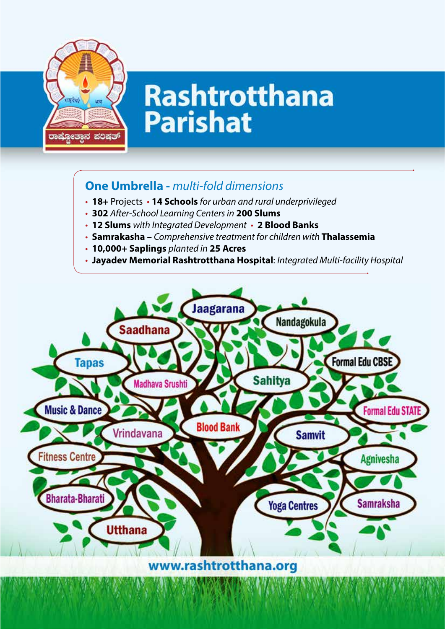

# **Rashtrotthana Parishat**

### **One Umbrella -** *multi-fold dimensions*

- **18+** Projects **14 Schools** *for urban and rural underprivileged*
- **302** *After-School Learning Centers in* **200 Slums**
- **12 Slums** *with Integrated Development* **2 Blood Banks**
- **Samrakasha** *Comprehensive treatment for children with* **Thalassemia**
- **10,000+ Saplings** *planted in* **25 Acres**
- **Jayadev Memorial Rashtrotthana Hospital**: *Integrated Multi-facility Hospital*



www.rashtrotthana.org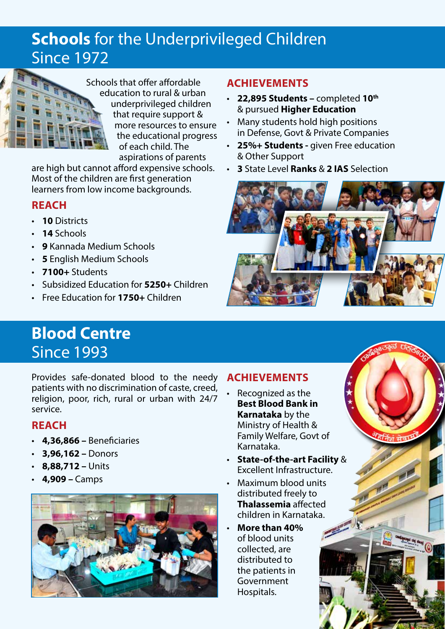# **Schools** for the Underprivileged Children **Since 1972**



Schools that offer affordable education to rural & urban underprivileged children that require support & more resources to ensure the educational progress of each child. The aspirations of parents

are high but cannot afford expensive schools. Most of the children are first generation learners from low income backgrounds.

### **Reach**

- **10** Districts
- **14** Schools
- **9** Kannada Medium Schools
- **5** English Medium Schools
- **7100+** Students
- Subsidized Education for **5250+** Children
- Free Education for **1750+** Children

# **Blood Centre** Since 1993

Provides safe-donated blood to the needy patients with no discrimination of caste, creed, religion, poor, rich, rural or urban with 24/7 service.

### **Reach**

- **4,36,866 –** Beneficiaries
- **3,96,162 –** Donors
- **8,88,712 –** Units
- **4,909 –** Camps



### **Achievements**

- **22,895 Students –** completed **10th** & pursued **Higher Education**
- Many students hold high positions in Defense, Govt & Private Companies
- **25%+ Students -** given Free education & Other Support
- **3** State Level **Ranks** & **2 IAS** Selection



### **Achievements**

- Recognized as the **Best Blood Bank in Karnataka** by the Ministry of Health & Family Welfare, Govt of Karnataka.
- **State-of-the-art Facility** & Excellent Infrastructure.
- Maximum blood units distributed freely to **Thalassemia** affected children in Karnataka.
- **More than 40%** of blood units collected, are distributed to the patients in Government Hospitals.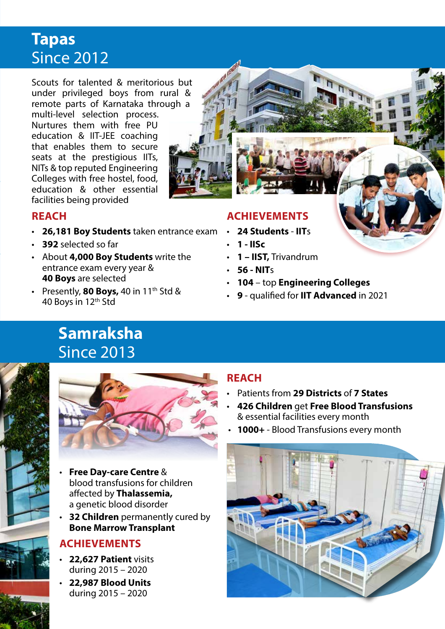# **Tapas** Since 2012

Scouts for talented & meritorious but under privileged boys from rural & remote parts of Karnataka through a

multi-level selection process. Nurtures them with free PU education & IIT-JEE coaching that enables them to secure seats at the prestigious IITs, NITs & top reputed Engineering Colleges with free hostel, food, education & other essential facilities being provided

#### **Reach**

- **26,181 Boy Students** taken entrance exam
- **392** selected so far
- About **4,000 Boy Students** write the entrance exam every year & **40 Boys** are selected
- Presently, **80 Boys,** 40 in 11<sup>th</sup> Std & 40 Boys in 12th Std

### **Achievements**

- **24 Students IIT**s
- **1 IISc**
- **1 – IIST,** Trivandrum
- **56 - NIT**s
- **104** top **Engineering Colleges**
- **9** qualified for **IIT Advanced** in 2021

# **Samraksha** Since 2013





- **Free Day-care Centre** & blood transfusions for children affected by **Thalassemia,** a genetic blood disorder
- **32 Children** permanently cured by **Bone Marrow Transplant**

### **Achievements**

- **22,627 Patient** visits during 2015 – 2020
- **22,987 Blood Units** during 2015 – 2020

### **Reach**

- Patients from **29 Districts** of **7 States**
- **426 Children** get **Free Blood Transfusions** & essential facilities every month
- **1000+** Blood Transfusions every month

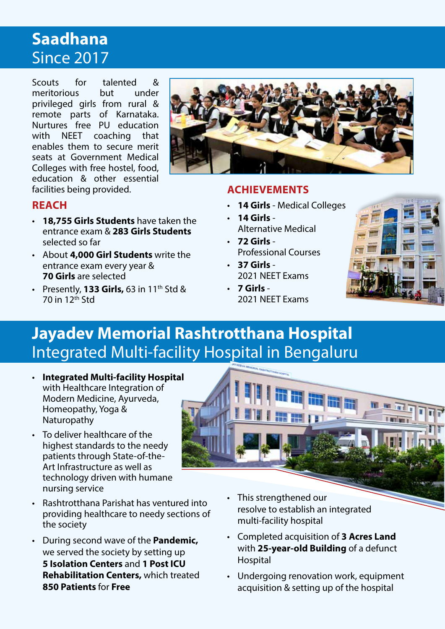# **Saadhana** Since 2017

Scouts for talented & meritorious but under privileged girls from rural & remote parts of Karnataka. Nurtures free PU education with NEET coaching that enables them to secure merit seats at Government Medical Colleges with free hostel, food, education & other essential facilities being provided.



### **Achievements**

- **14 Girls** Medical Colleges
- **14 Girls** Alternative Medical
- **72 Girls** Professional Courses
- **37 Girls** 2021 NEET Exams
- **7 Girls** 2021 NEET Exams



# **Jayadev Memorial Rashtrotthana Hospital** Integrated Multi-facility Hospital in Bengaluru

- **Integrated Multi-facility Hospital** with Healthcare Integration of Modern Medicine, Ayurveda, Homeopathy, Yoga & Naturopathy
- To deliver healthcare of the highest standards to the needy patients through State-of-the-Art Infrastructure as well as technology driven with humane nursing service
- Rashtrotthana Parishat has ventured into providing healthcare to needy sections of the society
- During second wave of the **Pandemic,** we served the society by setting up **5 Isolation Centers** and **1 Post ICU Rehabilitation Centers,** which treated **850 Patients** for **Free**
- ii iii in
	- This strengthened our resolve to establish an integrated multi-facility hospital
	- Completed acquisition of **3 Acres Land** with **25-year-old Building** of a defunct Hospital
	- Undergoing renovation work, equipment acquisition & setting up of the hospital

**Reach**

- **18,755 Girls Students** have taken the entrance exam & **283 Girls Students** selected so far
- About **4,000 Girl Students** write the entrance exam every year & **70 Girls** are selected
- Presently, **133 Girls,** 63 in 11<sup>th</sup> Std &  $70$  in  $12<sup>th</sup>$  Std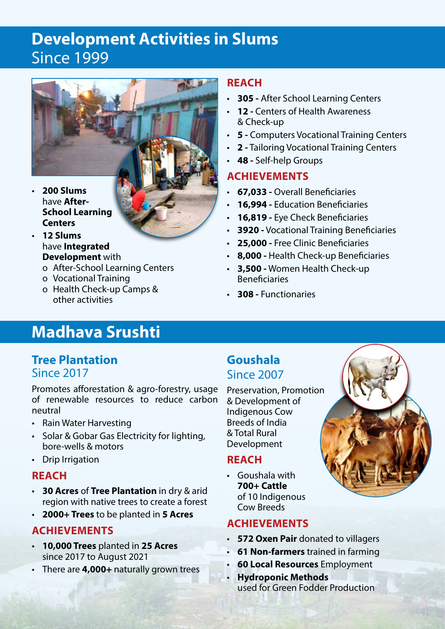# **Development Activities in Slums** Since 1999



- **200 Slums** have **After-School Learning Centers**
- **12 Slums** have **Integrated Development** with
	- o After-School Learning Centers
	- o Vocational Training
	- o Health Check-up Camps & other activities

### **Reach**

- **305 -** After School Learning Centers
- **12 -** Centers of Health Awareness & Check-up
- **5 -** Computers Vocational Training Centers
- **2 -** Tailoring Vocational Training Centers
- **48 -** Self-help Groups

### **Achievements**

- **67,033 -** Overall Beneficiaries
- **16,994 -** Education Beneficiaries
- **16,819 -** Eye Check Beneficiaries
- **3920 -** Vocational Training Beneficiaries
- **25,000 -** Free Clinic Beneficiaries
- **8,000 -** Health Check-up Beneficiaries
- **3,500 -** Women Health Check-up Beneficiaries
- **308 -** Functionaries

# **Madhava Srushti**

### **Tree Plantation** Since 2017

Promotes afforestation & agro-forestry, usage of renewable resources to reduce carbon neutral

- Rain Water Harvesting
- Solar & Gobar Gas Electricity for lighting, bore-wells & motors
- Drip Irrigation

### **Reach**

- **30 Acres** of **Tree Plantation** in dry & arid region with native trees to create a forest
- **2000+ Trees** to be planted in **5 Acres**

### **Achievements**

- **10,000 Trees** planted in **25 Acres** since 2017 to August 2021
- There are **4,000+** naturally grown trees

### **Goushala** Since 2007

Preservation, Promotion & Development of Indigenous Cow Breeds of India & Total Rural Development

### **Reach**

• Goushala with **700+ Cattle** of 10 Indigenous Cow Breeds

### **Achievements**

- **572 Oxen Pair** donated to villagers
- **61 Non-farmers** trained in farming
- **60 Local Resources** Employment
- **Hydroponic Methods** used for Green Fodder Production